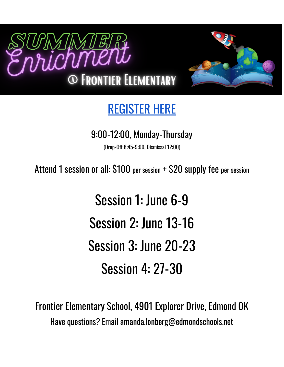



# [REGISTER](https://docs.google.com/forms/d/e/1FAIpQLSckt5R-4UDGoktPijPElM6yOLG5QOoXBLKojvVAnsXypQq_Jg/viewform?usp=sf_link) HERE

# 9:00-12:00, Monday-Thursday

(Drop-Off 8:45-9:00, Dismissal 12:00)

Attend 1 session or all: \$100 per session + \$20 supply fee per session

Session 1: June 6-9 Session 2: June 13-16 Session 3: June 20-23 Session 4: 27-30

Frontier Elementary School, 4901 Explorer Drive, Edmond OK Have questions? Email amanda.lonberg@edmondschools.net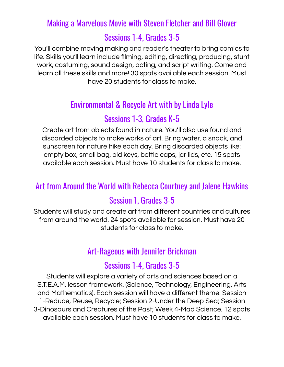#### Making a Marvelous Movie with Steven Fletcher and Bill Glover

#### Sessions 1-4, Grades 3-5

You'll combine moving making and reader's theater to bring comics to life. Skills you'll learn include filming, editing, directing, producing, stunt work, costuming, sound design, acting, and script writing. Come and learn all these skills and more! 30 spots available each session. Must have 20 students for class to make.

# Environmental & Recycle Art with by Linda Lyle

# Sessions 1-3, Grades K-5

Create art from objects found in nature. You'll also use found and discarded objects to make works of art. Bring water, a snack, and sunscreen for nature hike each day. Bring discarded objects like: empty box, small bag, old keys, bottle caps, jar lids, etc. 15 spots available each session. Must have 10 students for class to make.

#### Art from Around the World with Rebecca Courtney and Jalene Hawkins

# Session 1, Grades 3-5

Students will study and create art from different countries and cultures from around the world. 24 spots available for session. Must have 20 students for class to make.

#### Art-Rageous with Jennifer Brickman

#### Sessions 1-4, Grades 3-5

Students will explore a variety of arts and sciences based on a S.T.E.A.M. lesson framework. (Science, Technology, Engineering, Arts and Mathematics). Each session will have a different theme: Session 1-Reduce, Reuse, Recycle; Session 2-Under the Deep Sea; Session 3-Dinosaurs and Creatures of the Past; Week 4-Mad Science. 12 spots available each session. Must have 10 students for class to make.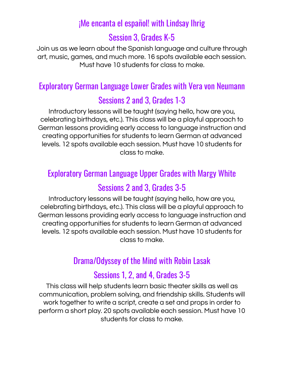# ¡Me encanta el español! with Lindsay Ihrig

# Session 3, Grades K-5

Join us as we learn about the Spanish language and culture through art, music, games, and much more. 16 spots available each session. Must have 10 students for class to make.

# Exploratory German Language Lower Grades with Vera von Neumann

# Sessions 2 and 3, Grades 1-3

Introductory lessons will be taught (saying hello, how are you, celebrating birthdays, etc.). This class will be a playful approach to German lessons providing early access to language instruction and creating opportunities for students to learn German at advanced levels. 12 spots available each session. Must have 10 students for class to make.

# Exploratory German Language Upper Grades with Margy White

# Sessions 2 and 3, Grades 3-5

Introductory lessons will be taught (saying hello, how are you, celebrating birthdays, etc.). This class will be a playful approach to German lessons providing early access to language instruction and creating opportunities for students to learn German at advanced levels. 12 spots available each session. Must have 10 students for class to make.

#### Drama/Odyssey of the Mind with Robin Lasak

#### Sessions 1, 2, and 4, Grades 3-5

This class will help students learn basic theater skills as well as communication, problem solving, and friendship skills. Students will work together to write a script, create a set and props in order to perform a short play. 20 spots available each session. Must have 10 students for class to make.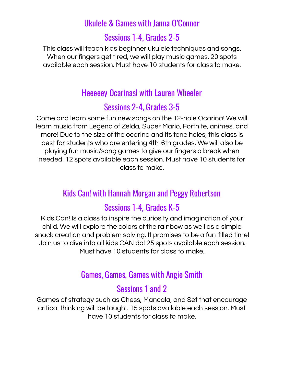#### Ukulele & Games with Janna O'Connor

#### Sessions 1-4, Grades 2-5

This class will teach kids beginner ukulele techniques and songs. When our fingers get tired, we will play music games. 20 spots available each session. Must have 10 students for class to make.

#### Heeeeey Ocarinas! with Lauren Wheeler

#### Sessions 2-4, Grades 3-5

Come and learn some fun new songs on the 12-hole Ocarina! We will learn music from Legend of Zelda, Super Mario, Fortnite, animes, and more! Due to the size of the ocarina and its tone holes, this class is best for students who are entering 4th-6th grades. We will also be playing fun music/song games to give our fingers a break when needed. 12 spots available each session. Must have 10 students for class to make.

#### Kids Can! with Hannah Morgan and Peggy Robertson

#### Sessions 1-4, Grades K-5

Kids Can! Is a class to inspire the curiosity and imagination of your child. We will explore the colors of the rainbow as well as a simple snack creation and problem solving. It promises to be a fun-filled time! Join us to dive into all kids CAN do! 25 spots available each session. Must have 10 students for class to make.

#### Games, Games, Games with Angie Smith

#### Sessions 1 and 2

Games of strategy such as Chess, Mancala, and Set that encourage critical thinking will be taught. 15 spots available each session. Must have 10 students for class to make.